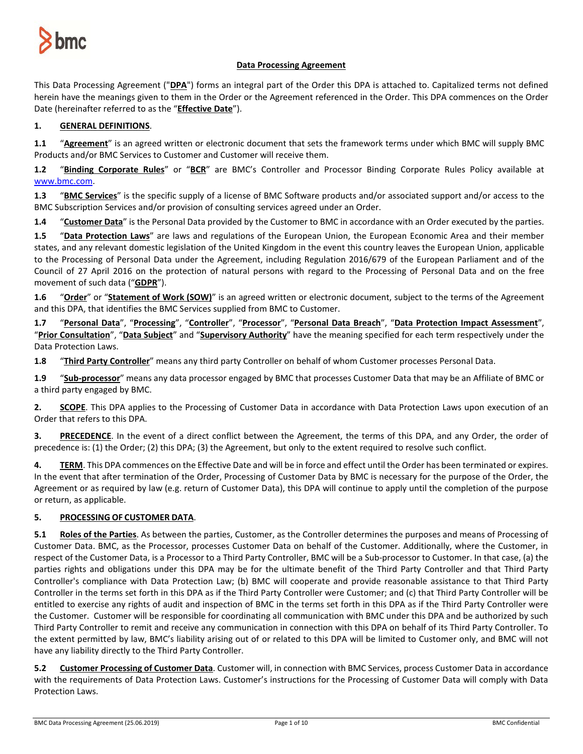

## **Data Processing Agreement**

This Data Processing Agreement ("**DPA**") forms an integral part of the Order this DPA is attached to. Capitalized terms not defined herein have the meanings given to them in the Order or the Agreement referenced in the Order. This DPA commences on the Order Date (hereinafter referred to as the "**Effective Date**").

# **1. GENERAL DEFINITIONS**.

**1.1** "**Agreement**" is an agreed written or electronic document that sets the framework terms under which BMC will supply BMC Products and/or BMC Services to Customer and Customer will receive them.

**1.2** "**Binding Corporate Rules**" or "**BCR**" are BMC's Controller and Processor Binding Corporate Rules Policy available at [www.bmc.com.](http://www.bmc.com/)

**1.3** "**BMC Services**" is the specific supply of a license of BMC Software products and/or associated support and/or access to the BMC Subscription Services and/or provision of consulting services agreed under an Order.

**1.4** "**Customer Data**" is the Personal Data provided by the Customer to BMC in accordance with an Order executed by the parties.

**1.5** "**Data Protection Laws**" are laws and regulations of the European Union, the European Economic Area and their member states, and any relevant domestic legislation of the United Kingdom in the event this country leaves the European Union, applicable to the Processing of Personal Data under the Agreement, including Regulation 2016/679 of the European Parliament and of the Council of 27 April 2016 on the protection of natural persons with regard to the Processing of Personal Data and on the free movement of such data ("**GDPR**").

**1.6** "**Order**" or "**Statement of Work (SOW)**" is an agreed written or electronic document, subject to the terms of the Agreement and this DPA, that identifies the BMC Services supplied from BMC to Customer.

**1.7** "**Personal Data**", "**Processing**", "**Controller**", "**Processor**", "**Personal Data Breach**", "**Data Protection Impact Assessment**", "**Prior Consultation**", "**Data Subject**" and "**Supervisory Authority**" have the meaning specified for each term respectively under the Data Protection Laws.

**1.8** "**Third Party Controller**" means any third party Controller on behalf of whom Customer processes Personal Data.

**1.9** "**Sub-processor**" means any data processor engaged by BMC that processes Customer Data that may be an Affiliate of BMC or a third party engaged by BMC.

**2. SCOPE**. This DPA applies to the Processing of Customer Data in accordance with Data Protection Laws upon execution of an Order that refers to this DPA.

**3. PRECEDENCE**. In the event of a direct conflict between the Agreement, the terms of this DPA, and any Order, the order of precedence is: (1) the Order; (2) this DPA; (3) the Agreement, but only to the extent required to resolve such conflict.

**4. TERM**. This DPA commences on the Effective Date and will be in force and effect until the Order has been terminated or expires. In the event that after termination of the Order, Processing of Customer Data by BMC is necessary for the purpose of the Order, the Agreement or as required by law (e.g. return of Customer Data), this DPA will continue to apply until the completion of the purpose or return, as applicable.

## **5. PROCESSING OF CUSTOMER DATA**.

**5.1 Roles of the Parties**. As between the parties, Customer, as the Controller determines the purposes and means of Processing of Customer Data. BMC, as the Processor, processes Customer Data on behalf of the Customer. Additionally, where the Customer, in respect of the Customer Data, is a Processor to a Third Party Controller, BMC will be a Sub-processor to Customer. In that case, (a) the parties rights and obligations under this DPA may be for the ultimate benefit of the Third Party Controller and that Third Party Controller's compliance with Data Protection Law; (b) BMC will cooperate and provide reasonable assistance to that Third Party Controller in the terms set forth in this DPA as if the Third Party Controller were Customer; and (c) that Third Party Controller will be entitled to exercise any rights of audit and inspection of BMC in the terms set forth in this DPA as if the Third Party Controller were the Customer. Customer will be responsible for coordinating all communication with BMC under this DPA and be authorized by such Third Party Controller to remit and receive any communication in connection with this DPA on behalf of its Third Party Controller. To the extent permitted by law, BMC's liability arising out of or related to this DPA will be limited to Customer only, and BMC will not have any liability directly to the Third Party Controller.

**5.2 Customer Processing of Customer Data**. Customer will, in connection with BMC Services, process Customer Data in accordance with the requirements of Data Protection Laws. Customer's instructions for the Processing of Customer Data will comply with Data Protection Laws.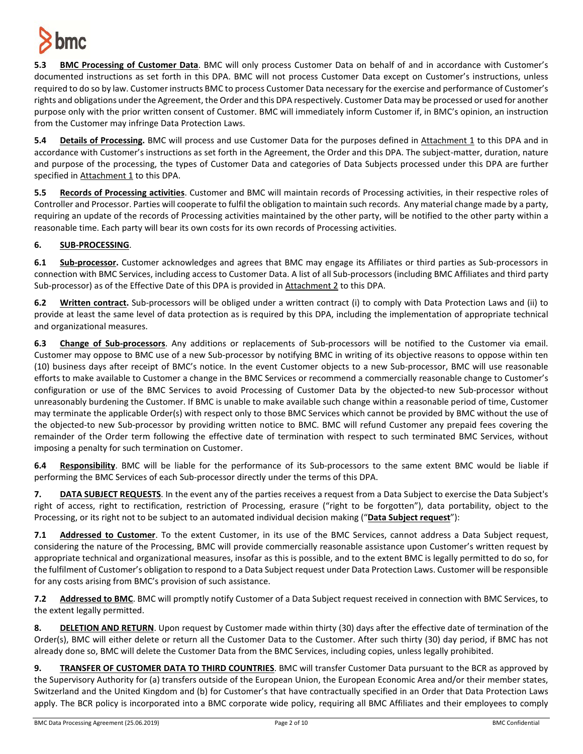

**5.3 BMC Processing of Customer Data**. BMC will only process Customer Data on behalf of and in accordance with Customer's documented instructions as set forth in this DPA. BMC will not process Customer Data except on Customer's instructions, unless required to do so by law. Customer instructs BMC to process Customer Data necessary for the exercise and performance of Customer's rights and obligations under the Agreement, the Order and this DPA respectively. Customer Data may be processed or used for another purpose only with the prior written consent of Customer. BMC will immediately inform Customer if, in BMC's opinion, an instruction from the Customer may infringe Data Protection Laws.

**5.4 Details of Processing.** BMC will process and use Customer Data for the purposes defined in Attachment 1 to this DPA and in accordance with Customer's instructions as set forth in the Agreement, the Order and this DPA. The subject-matter, duration, nature and purpose of the processing, the types of Customer Data and categories of Data Subjects processed under this DPA are further specified in Attachment 1 to this DPA.

**5.5 Records of Processing activities**. Customer and BMC will maintain records of Processing activities, in their respective roles of Controller and Processor. Parties will cooperate to fulfil the obligation to maintain such records. Any material change made by a party, requiring an update of the records of Processing activities maintained by the other party, will be notified to the other party within a reasonable time. Each party will bear its own costs for its own records of Processing activities.

# **6. SUB-PROCESSING**.

**6.1 Sub-processor.** Customer acknowledges and agrees that BMC may engage its Affiliates or third parties as Sub-processors in connection with BMC Services, including access to Customer Data. A list of all Sub-processors (including BMC Affiliates and third party Sub-processor) as of the Effective Date of this DPA is provided in Attachment 2 to this DPA.

**6.2 Written contract.** Sub-processors will be obliged under a written contract (i) to comply with Data Protection Laws and (ii) to provide at least the same level of data protection as is required by this DPA, including the implementation of appropriate technical and organizational measures.

**6.3 Change of Sub-processors**. Any additions or replacements of Sub-processors will be notified to the Customer via email. Customer may oppose to BMC use of a new Sub-processor by notifying BMC in writing of its objective reasons to oppose within ten (10) business days after receipt of BMC's notice. In the event Customer objects to a new Sub-processor, BMC will use reasonable efforts to make available to Customer a change in the BMC Services or recommend a commercially reasonable change to Customer's configuration or use of the BMC Services to avoid Processing of Customer Data by the objected-to new Sub-processor without unreasonably burdening the Customer. If BMC is unable to make available such change within a reasonable period of time, Customer may terminate the applicable Order(s) with respect only to those BMC Services which cannot be provided by BMC without the use of the objected-to new Sub-processor by providing written notice to BMC. BMC will refund Customer any prepaid fees covering the remainder of the Order term following the effective date of termination with respect to such terminated BMC Services, without imposing a penalty for such termination on Customer.

**6.4 Responsibility**. BMC will be liable for the performance of its Sub-processors to the same extent BMC would be liable if performing the BMC Services of each Sub-processor directly under the terms of this DPA.

**7. DATA SUBJECT REQUESTS**. In the event any of the parties receives a request from a Data Subject to exercise the Data Subject's right of access, right to rectification, restriction of Processing, erasure ("right to be forgotten"), data portability, object to the Processing, or its right not to be subject to an automated individual decision making ("**Data Subject request**"):

**7.1 Addressed to Customer**. To the extent Customer, in its use of the BMC Services, cannot address a Data Subject request, considering the nature of the Processing, BMC will provide commercially reasonable assistance upon Customer's written request by appropriate technical and organizational measures, insofar as this is possible, and to the extent BMC is legally permitted to do so, for the fulfilment of Customer's obligation to respond to a Data Subject request under Data Protection Laws. Customer will be responsible for any costs arising from BMC's provision of such assistance.

**7.2 Addressed to BMC**. BMC will promptly notify Customer of a Data Subject request received in connection with BMC Services, to the extent legally permitted.

**8. DELETION AND RETURN**. Upon request by Customer made within thirty (30) days after the effective date of termination of the Order(s), BMC will either delete or return all the Customer Data to the Customer. After such thirty (30) day period, if BMC has not already done so, BMC will delete the Customer Data from the BMC Services, including copies, unless legally prohibited.

**9. TRANSFER OF CUSTOMER DATA TO THIRD COUNTRIES**. BMC will transfer Customer Data pursuant to the BCR as approved by the Supervisory Authority for (a) transfers outside of the European Union, the European Economic Area and/or their member states, Switzerland and the United Kingdom and (b) for Customer's that have contractually specified in an Order that Data Protection Laws apply. The BCR policy is incorporated into a BMC corporate wide policy, requiring all BMC Affiliates and their employees to comply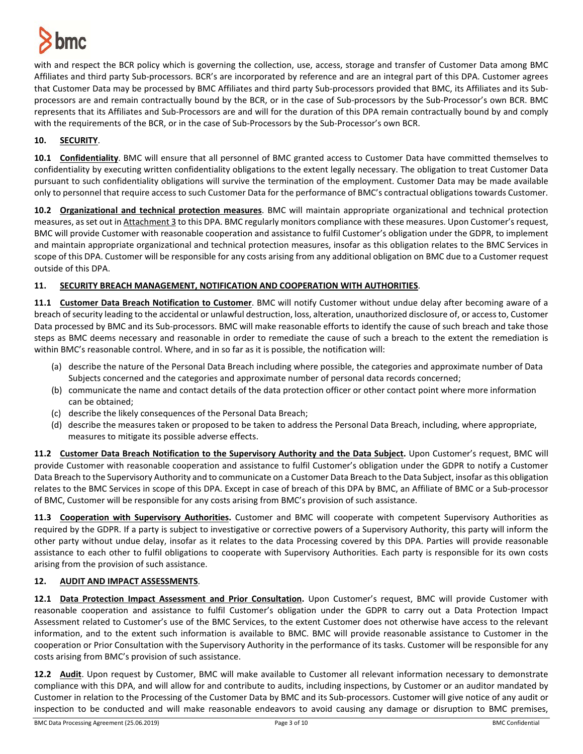

with and respect the BCR policy which is governing the collection, use, access, storage and transfer of Customer Data among BMC Affiliates and third party Sub-processors. BCR's are incorporated by reference and are an integral part of this DPA. Customer agrees that Customer Data may be processed by BMC Affiliates and third party Sub-processors provided that BMC, its Affiliates and its Subprocessors are and remain contractually bound by the BCR, or in the case of Sub-processors by the Sub-Processor's own BCR. BMC represents that its Affiliates and Sub-Processors are and will for the duration of this DPA remain contractually bound by and comply with the requirements of the BCR, or in the case of Sub-Processors by the Sub-Processor's own BCR.

## **10. SECURITY**.

**10.1 Confidentiality**. BMC will ensure that all personnel of BMC granted access to Customer Data have committed themselves to confidentiality by executing written confidentiality obligations to the extent legally necessary. The obligation to treat Customer Data pursuant to such confidentiality obligations will survive the termination of the employment. Customer Data may be made available only to personnel that require access to such Customer Data for the performance of BMC's contractual obligations towards Customer.

**10.2 Organizational and technical protection measures**. BMC will maintain appropriate organizational and technical protection measures, as set out in Attachment 3 to this DPA. BMC regularly monitors compliance with these measures. Upon Customer's request, BMC will provide Customer with reasonable cooperation and assistance to fulfil Customer's obligation under the GDPR, to implement and maintain appropriate organizational and technical protection measures, insofar as this obligation relates to the BMC Services in scope of this DPA. Customer will be responsible for any costs arising from any additional obligation on BMC due to a Customer request outside of this DPA.

## **11. SECURITY BREACH MANAGEMENT, NOTIFICATION AND COOPERATION WITH AUTHORITIES**.

**11.1 Customer Data Breach Notification to Customer**. BMC will notify Customer without undue delay after becoming aware of a breach of security leading to the accidental or unlawful destruction, loss, alteration, unauthorized disclosure of, or accessto, Customer Data processed by BMC and its Sub-processors. BMC will make reasonable efforts to identify the cause of such breach and take those steps as BMC deems necessary and reasonable in order to remediate the cause of such a breach to the extent the remediation is within BMC's reasonable control. Where, and in so far as it is possible, the notification will:

- (a) describe the nature of the Personal Data Breach including where possible, the categories and approximate number of Data Subjects concerned and the categories and approximate number of personal data records concerned;
- (b) communicate the name and contact details of the data protection officer or other contact point where more information can be obtained;
- (c) describe the likely consequences of the Personal Data Breach;
- (d) describe the measures taken or proposed to be taken to address the Personal Data Breach, including, where appropriate, measures to mitigate its possible adverse effects.

**11.2 Customer Data Breach Notification to the Supervisory Authority and the Data Subject.** Upon Customer's request, BMC will provide Customer with reasonable cooperation and assistance to fulfil Customer's obligation under the GDPR to notify a Customer Data Breach to the Supervisory Authority and to communicate on a Customer Data Breach to the Data Subject, insofar as this obligation relates to the BMC Services in scope of this DPA. Except in case of breach of this DPA by BMC, an Affiliate of BMC or a Sub-processor of BMC, Customer will be responsible for any costs arising from BMC's provision of such assistance.

**11.3 Cooperation with Supervisory Authorities.** Customer and BMC will cooperate with competent Supervisory Authorities as required by the GDPR. If a party is subject to investigative or corrective powers of a Supervisory Authority, this party will inform the other party without undue delay, insofar as it relates to the data Processing covered by this DPA. Parties will provide reasonable assistance to each other to fulfil obligations to cooperate with Supervisory Authorities. Each party is responsible for its own costs arising from the provision of such assistance.

## **12. AUDIT AND IMPACT ASSESSMENTS**.

**12.1 Data Protection Impact Assessment and Prior Consultation.** Upon Customer's request, BMC will provide Customer with reasonable cooperation and assistance to fulfil Customer's obligation under the GDPR to carry out a Data Protection Impact Assessment related to Customer's use of the BMC Services, to the extent Customer does not otherwise have access to the relevant information, and to the extent such information is available to BMC. BMC will provide reasonable assistance to Customer in the cooperation or Prior Consultation with the Supervisory Authority in the performance of its tasks. Customer will be responsible for any costs arising from BMC's provision of such assistance.

**12.2 Audit**. Upon request by Customer, BMC will make available to Customer all relevant information necessary to demonstrate compliance with this DPA, and will allow for and contribute to audits, including inspections, by Customer or an auditor mandated by Customer in relation to the Processing of the Customer Data by BMC and its Sub-processors. Customer will give notice of any audit or inspection to be conducted and will make reasonable endeavors to avoid causing any damage or disruption to BMC premises,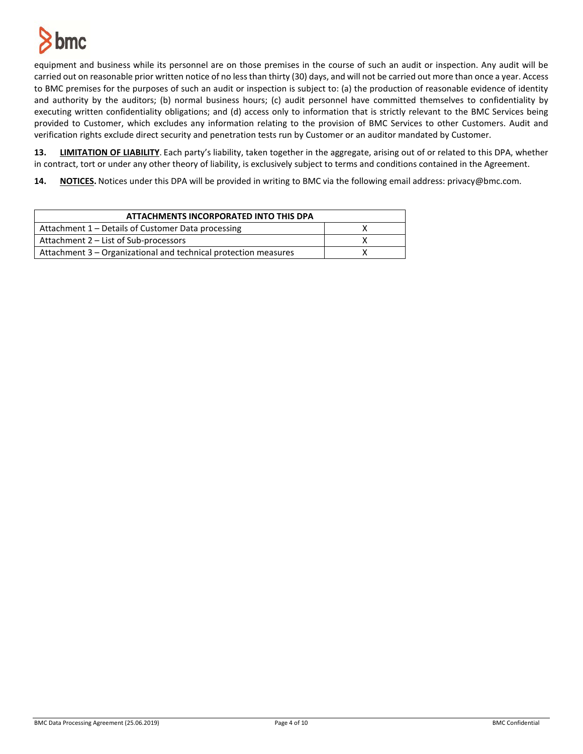

equipment and business while its personnel are on those premises in the course of such an audit or inspection. Any audit will be carried out on reasonable prior written notice of no less than thirty (30) days, and will not be carried out more than once a year. Access to BMC premises for the purposes of such an audit or inspection is subject to: (a) the production of reasonable evidence of identity and authority by the auditors; (b) normal business hours; (c) audit personnel have committed themselves to confidentiality by executing written confidentiality obligations; and (d) access only to information that is strictly relevant to the BMC Services being provided to Customer, which excludes any information relating to the provision of BMC Services to other Customers. Audit and verification rights exclude direct security and penetration tests run by Customer or an auditor mandated by Customer.

**13. LIMITATION OF LIABILITY**. Each party's liability, taken together in the aggregate, arising out of or related to this DPA, whether in contract, tort or under any other theory of liability, is exclusively subject to terms and conditions contained in the Agreement.

**14. NOTICES.** Notices under this DPA will be provided in writing to BMC via the following email address: privacy@bmc.com.

| ATTACHMENTS INCORPORATED INTO THIS DPA                          |  |
|-----------------------------------------------------------------|--|
| Attachment 1 – Details of Customer Data processing              |  |
| Attachment 2 – List of Sub-processors                           |  |
| Attachment 3 – Organizational and technical protection measures |  |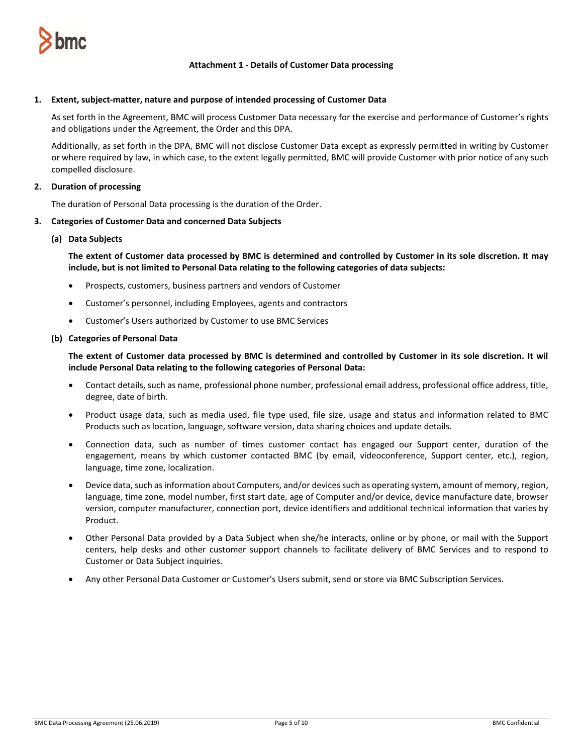

## **Attachment 1 - Details of Customer Data processing**

#### **1. Extent, subject-matter, nature and purpose of intended processing of Customer Data**

As set forth in the Agreement, BMC will process Customer Data necessary for the exercise and performance of Customer's rights and obligations under the Agreement, the Order and this DPA.

Additionally, as set forth in the DPA, BMC will not disclose Customer Data except as expressly permitted in writing by Customer or where required by law, in which case, to the extent legally permitted, BMC will provide Customer with prior notice of any such compelled disclosure.

## **2. Duration of processing**

The duration of Personal Data processing is the duration of the Order.

#### **3. Categories of Customer Data and concerned Data Subjects**

#### **(a) Data Subjects**

**The extent of Customer data processed by BMC is determined and controlled by Customer in its sole discretion. It may include, but is not limited to Personal Data relating to the following categories of data subjects:**

- Prospects, customers, business partners and vendors of Customer
- Customer's personnel, including Employees, agents and contractors
- Customer's Users authorized by Customer to use BMC Services

#### **(b) Categories of Personal Data**

**The extent of Customer data processed by BMC is determined and controlled by Customer in its sole discretion. It wil include Personal Data relating to the following categories of Personal Data:**

- Contact details, such as name, professional phone number, professional email address, professional office address, title, degree, date of birth.
- Product usage data, such as media used, file type used, file size, usage and status and information related to BMC Products such as location, language, software version, data sharing choices and update details.
- Connection data, such as number of times customer contact has engaged our Support center, duration of the engagement, means by which customer contacted BMC (by email, videoconference, Support center, etc.), region, language, time zone, localization.
- Device data, such as information about Computers, and/or devices such as operating system, amount of memory, region, language, time zone, model number, first start date, age of Computer and/or device, device manufacture date, browser version, computer manufacturer, connection port, device identifiers and additional technical information that varies by Product.
- Other Personal Data provided by a Data Subject when she/he interacts, online or by phone, or mail with the Support centers, help desks and other customer support channels to facilitate delivery of BMC Services and to respond to Customer or Data Subject inquiries.
- Any other Personal Data Customer or Customer's Users submit, send or store via BMC Subscription Services.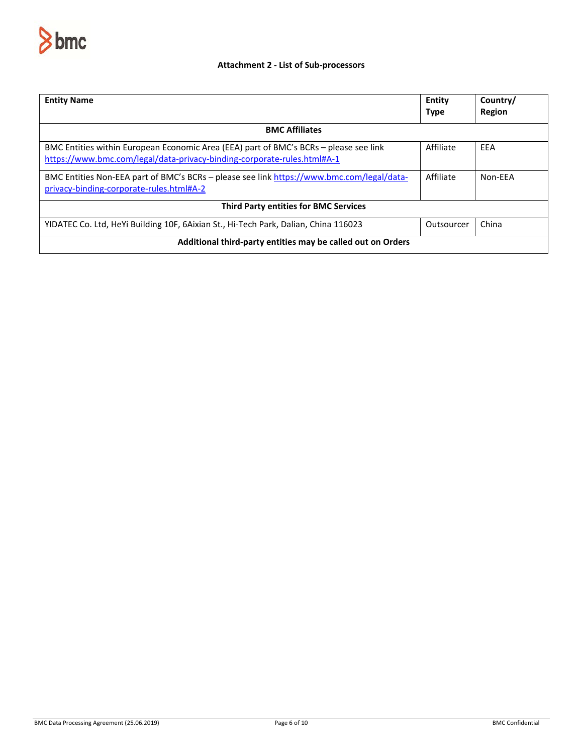

# **Attachment 2 - List of Sub-processors**

| <b>Entity Name</b>                                                                                                                                               | Entity<br><b>Type</b> | Country/<br>Region |  |
|------------------------------------------------------------------------------------------------------------------------------------------------------------------|-----------------------|--------------------|--|
| <b>BMC Affiliates</b>                                                                                                                                            |                       |                    |  |
| BMC Entities within European Economic Area (EEA) part of BMC's BCRs - please see link<br>https://www.bmc.com/legal/data-privacy-binding-corporate-rules.html#A-1 | Affiliate             | EEA                |  |
| BMC Entities Non-EEA part of BMC's BCRs - please see link https://www.bmc.com/legal/data-<br>privacy-binding-corporate-rules.html#A-2                            | Affiliate             | Non-FFA            |  |
| <b>Third Party entities for BMC Services</b>                                                                                                                     |                       |                    |  |
| YIDATEC Co. Ltd, HeYi Building 10F, 6Aixian St., Hi-Tech Park, Dalian, China 116023                                                                              | Outsourcer            | China              |  |
| Additional third-party entities may be called out on Orders                                                                                                      |                       |                    |  |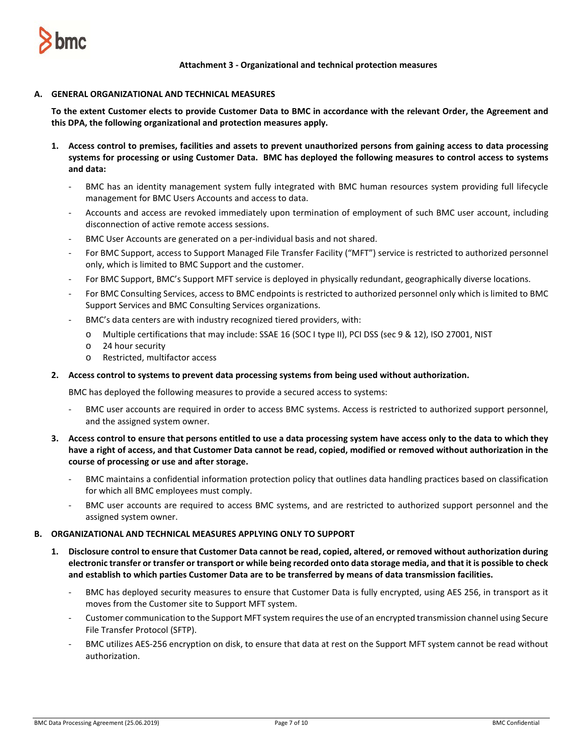

**Attachment 3 - Organizational and technical protection measures**

### **A. GENERAL ORGANIZATIONAL AND TECHNICAL MEASURES**

**To the extent Customer elects to provide Customer Data to BMC in accordance with the relevant Order, the Agreement and this DPA, the following organizational and protection measures apply.** 

- **1. Access control to premises, facilities and assets to prevent unauthorized persons from gaining access to data processing systems for processing or using Customer Data. BMC has deployed the following measures to control access to systems and data:**
	- BMC has an identity management system fully integrated with BMC human resources system providing full lifecycle management for BMC Users Accounts and access to data.
	- Accounts and access are revoked immediately upon termination of employment of such BMC user account, including disconnection of active remote access sessions.
	- BMC User Accounts are generated on a per-individual basis and not shared.
	- For BMC Support, access to Support Managed File Transfer Facility ("MFT") service is restricted to authorized personnel only, which is limited to BMC Support and the customer.
	- For BMC Support, BMC's Support MFT service is deployed in physically redundant, geographically diverse locations.
	- For BMC Consulting Services, access to BMC endpoints is restricted to authorized personnel only which is limited to BMC Support Services and BMC Consulting Services organizations.
	- BMC's data centers are with industry recognized tiered providers, with:
		- o Multiple certifications that may include: SSAE 16 (SOC I type II), PCI DSS (sec 9 & 12), ISO 27001, NIST
		- o 24 hour security
		- o Restricted, multifactor access

## **2. Access control to systems to prevent data processing systems from being used without authorization.**

BMC has deployed the following measures to provide a secured access to systems:

- BMC user accounts are required in order to access BMC systems. Access is restricted to authorized support personnel, and the assigned system owner.
- **3. Access control to ensure that persons entitled to use a data processing system have access only to the data to which they have a right of access, and that Customer Data cannot be read, copied, modified or removed without authorization in the course of processing or use and after storage.**
	- BMC maintains a confidential information protection policy that outlines data handling practices based on classification for which all BMC employees must comply.
	- BMC user accounts are required to access BMC systems, and are restricted to authorized support personnel and the assigned system owner.

### **B. ORGANIZATIONAL AND TECHNICAL MEASURES APPLYING ONLY TO SUPPORT**

- **1. Disclosure control to ensure that Customer Data cannot be read, copied, altered, or removed without authorization during electronic transfer or transfer or transport or while being recorded onto data storage media, and that it is possible to check and establish to which parties Customer Data are to be transferred by means of data transmission facilities.** 
	- BMC has deployed security measures to ensure that Customer Data is fully encrypted, using AES 256, in transport as it moves from the Customer site to Support MFT system.
	- Customer communication to the Support MFT system requires the use of an encrypted transmission channel using Secure File Transfer Protocol (SFTP).
	- BMC utilizes AES-256 encryption on disk, to ensure that data at rest on the Support MFT system cannot be read without authorization.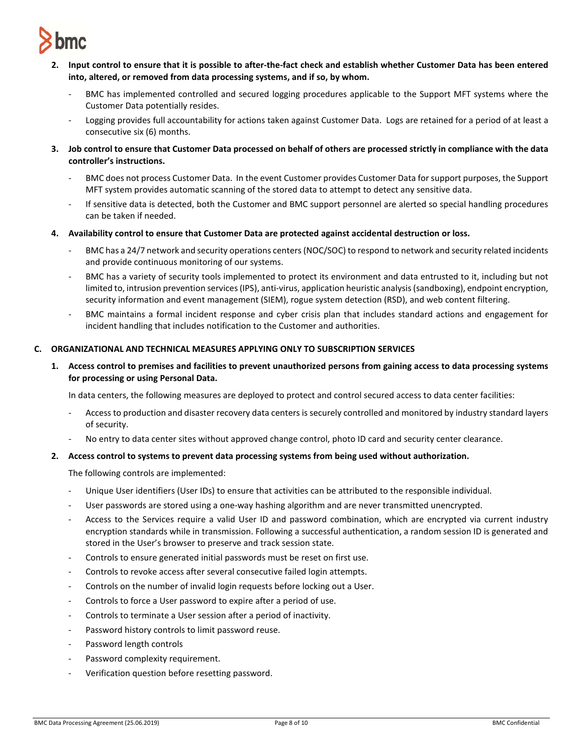

- **2. Input control to ensure that it is possible to after-the-fact check and establish whether Customer Data has been entered into, altered, or removed from data processing systems, and if so, by whom.** 
	- BMC has implemented controlled and secured logging procedures applicable to the Support MFT systems where the Customer Data potentially resides.
	- Logging provides full accountability for actions taken against Customer Data. Logs are retained for a period of at least a consecutive six (6) months.
- **3. Job control to ensure that Customer Data processed on behalf of others are processed strictly in compliance with the data controller's instructions.** 
	- BMC does not process Customer Data. In the event Customer provides Customer Data for support purposes, the Support MFT system provides automatic scanning of the stored data to attempt to detect any sensitive data.
	- If sensitive data is detected, both the Customer and BMC support personnel are alerted so special handling procedures can be taken if needed.
- **4. Availability control to ensure that Customer Data are protected against accidental destruction or loss.** 
	- BMC has a 24/7 network and security operations centers (NOC/SOC) to respond to network and security related incidents and provide continuous monitoring of our systems.
	- BMC has a variety of security tools implemented to protect its environment and data entrusted to it, including but not limited to, intrusion prevention services (IPS), anti-virus, application heuristic analysis (sandboxing), endpoint encryption, security information and event management (SIEM), rogue system detection (RSD), and web content filtering.
	- BMC maintains a formal incident response and cyber crisis plan that includes standard actions and engagement for incident handling that includes notification to the Customer and authorities.

## **C. ORGANIZATIONAL AND TECHNICAL MEASURES APPLYING ONLY TO SUBSCRIPTION SERVICES**

**1. Access control to premises and facilities to prevent unauthorized persons from gaining access to data processing systems for processing or using Personal Data.**

In data centers, the following measures are deployed to protect and control secured access to data center facilities:

- Access to production and disaster recovery data centers is securely controlled and monitored by industry standard layers of security.
- No entry to data center sites without approved change control, photo ID card and security center clearance.

### **2. Access control to systems to prevent data processing systems from being used without authorization.**

The following controls are implemented:

- Unique User identifiers (User IDs) to ensure that activities can be attributed to the responsible individual.
- User passwords are stored using a one-way hashing algorithm and are never transmitted unencrypted.
- Access to the Services require a valid User ID and password combination, which are encrypted via current industry encryption standards while in transmission. Following a successful authentication, a random session ID is generated and stored in the User's browser to preserve and track session state.
- Controls to ensure generated initial passwords must be reset on first use.
- Controls to revoke access after several consecutive failed login attempts.
- Controls on the number of invalid login requests before locking out a User.
- Controls to force a User password to expire after a period of use.
- Controls to terminate a User session after a period of inactivity.
- Password history controls to limit password reuse.
- Password length controls
- Password complexity requirement.
- Verification question before resetting password.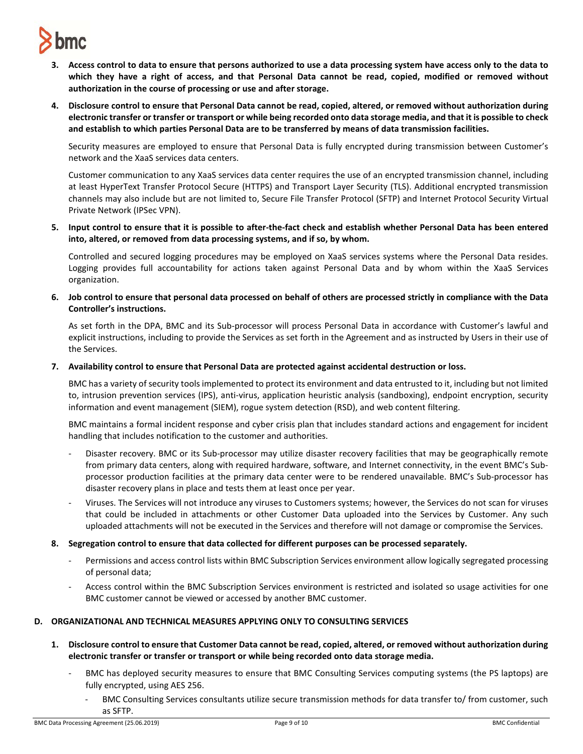

- **3. Access control to data to ensure that persons authorized to use a data processing system have access only to the data to which they have a right of access, and that Personal Data cannot be read, copied, modified or removed without authorization in the course of processing or use and after storage.**
- **4. Disclosure control to ensure that Personal Data cannot be read, copied, altered, or removed without authorization during electronic transfer or transfer or transport or while being recorded onto data storage media, and that it is possible to check and establish to which parties Personal Data are to be transferred by means of data transmission facilities.**

Security measures are employed to ensure that Personal Data is fully encrypted during transmission between Customer's network and the XaaS services data centers.

Customer communication to any XaaS services data center requires the use of an encrypted transmission channel, including at least HyperText Transfer Protocol Secure (HTTPS) and Transport Layer Security (TLS). Additional encrypted transmission channels may also include but are not limited to, Secure File Transfer Protocol (SFTP) and Internet Protocol Security Virtual Private Network (IPSec VPN).

**5. Input control to ensure that it is possible to after-the-fact check and establish whether Personal Data has been entered into, altered, or removed from data processing systems, and if so, by whom.**

Controlled and secured logging procedures may be employed on XaaS services systems where the Personal Data resides. Logging provides full accountability for actions taken against Personal Data and by whom within the XaaS Services organization.

**6. Job control to ensure that personal data processed on behalf of others are processed strictly in compliance with the Data Controller's instructions.**

As set forth in the DPA, BMC and its Sub-processor will process Personal Data in accordance with Customer's lawful and explicit instructions, including to provide the Services as set forth in the Agreement and as instructed by Users in their use of the Services.

**7. Availability control to ensure that Personal Data are protected against accidental destruction or loss.**

BMC has a variety of security tools implemented to protect its environment and data entrusted to it, including but not limited to, intrusion prevention services (IPS), anti-virus, application heuristic analysis (sandboxing), endpoint encryption, security information and event management (SIEM), rogue system detection (RSD), and web content filtering.

BMC maintains a formal incident response and cyber crisis plan that includes standard actions and engagement for incident handling that includes notification to the customer and authorities.

- Disaster recovery. BMC or its Sub-processor may utilize disaster recovery facilities that may be geographically remote from primary data centers, along with required hardware, software, and Internet connectivity, in the event BMC's Subprocessor production facilities at the primary data center were to be rendered unavailable. BMC's Sub-processor has disaster recovery plans in place and tests them at least once per year.
- Viruses. The Services will not introduce any viruses to Customers systems; however, the Services do not scan for viruses that could be included in attachments or other Customer Data uploaded into the Services by Customer. Any such uploaded attachments will not be executed in the Services and therefore will not damage or compromise the Services.
- **8. Segregation control to ensure that data collected for different purposes can be processed separately.** 
	- Permissions and access control lists within BMC Subscription Services environment allow logically segregated processing of personal data;
	- Access control within the BMC Subscription Services environment is restricted and isolated so usage activities for one BMC customer cannot be viewed or accessed by another BMC customer.

### **D. ORGANIZATIONAL AND TECHNICAL MEASURES APPLYING ONLY TO CONSULTING SERVICES**

- **1. Disclosure control to ensure that Customer Data cannot be read, copied, altered, or removed without authorization during electronic transfer or transfer or transport or while being recorded onto data storage media.**
	- BMC has deployed security measures to ensure that BMC Consulting Services computing systems (the PS laptops) are fully encrypted, using AES 256.
		- BMC Consulting Services consultants utilize secure transmission methods for data transfer to/ from customer, such as SFTP.